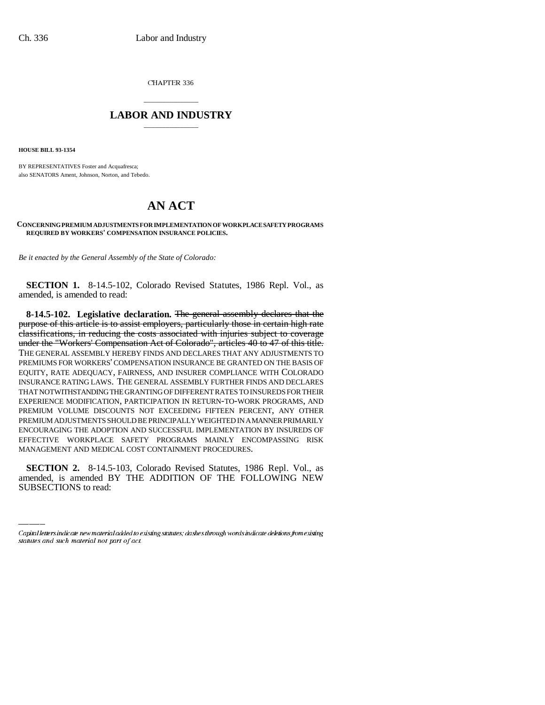CHAPTER 336

## \_\_\_\_\_\_\_\_\_\_\_\_\_\_\_ **LABOR AND INDUSTRY** \_\_\_\_\_\_\_\_\_\_\_\_\_\_\_

**HOUSE BILL 93-1354**

BY REPRESENTATIVES Foster and Acquafresca; also SENATORS Ament, Johnson, Norton, and Tebedo.

## **AN ACT**

## **CONCERNING PREMIUM ADJUSTMENTS FOR IMPLEMENTATION OF WORKPLACE SAFETY PROGRAMS REQUIRED BY WORKERS' COMPENSATION INSURANCE POLICIES.**

*Be it enacted by the General Assembly of the State of Colorado:*

**SECTION 1.** 8-14.5-102, Colorado Revised Statutes, 1986 Repl. Vol., as amended, is amended to read:

**8-14.5-102. Legislative declaration.** The general assembly declares that the purpose of this article is to assist employers, particularly those in certain high rate classifications, in reducing the costs associated with injuries subject to coverage under the "Workers' Compensation Act of Colorado", articles 40 to 47 of this title. THE GENERAL ASSEMBLY HEREBY FINDS AND DECLARES THAT ANY ADJUSTMENTS TO PREMIUMS FOR WORKERS' COMPENSATION INSURANCE BE GRANTED ON THE BASIS OF EQUITY, RATE ADEQUACY, FAIRNESS, AND INSURER COMPLIANCE WITH COLORADO INSURANCE RATING LAWS. THE GENERAL ASSEMBLY FURTHER FINDS AND DECLARES THAT NOTWITHSTANDING THE GRANTING OF DIFFERENT RATES TO INSUREDS FOR THEIR EXPERIENCE MODIFICATION, PARTICIPATION IN RETURN-TO-WORK PROGRAMS, AND PREMIUM VOLUME DISCOUNTS NOT EXCEEDING FIFTEEN PERCENT, ANY OTHER PREMIUM ADJUSTMENTS SHOULD BE PRINCIPALLY WEIGHTED IN A MANNER PRIMARILY ENCOURAGING THE ADOPTION AND SUCCESSFUL IMPLEMENTATION BY INSUREDS OF EFFECTIVE WORKPLACE SAFETY PROGRAMS MAINLY ENCOMPASSING RISK MANAGEMENT AND MEDICAL COST CONTAINMENT PROCEDURES.

**SECTION 2.** 8-14.5-103, Colorado Revised Statutes, 1986 Repl. Vol., as amended, is amended BY THE ADDITION OF THE FOLLOWING NEW SUBSECTIONS to read:

Capital letters indicate new material added to existing statutes; dashes through words indicate deletions from existing statutes and such material not part of act.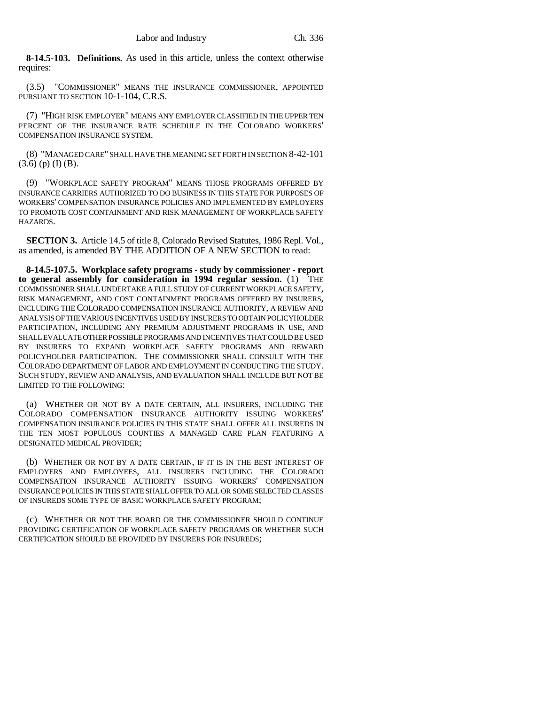**8-14.5-103. Definitions.** As used in this article, unless the context otherwise requires:

(3.5) "COMMISSIONER" MEANS THE INSURANCE COMMISSIONER, APPOINTED PURSUANT TO SECTION 10-1-104, C.R.S.

(7) "HIGH RISK EMPLOYER" MEANS ANY EMPLOYER CLASSIFIED IN THE UPPER TEN PERCENT OF THE INSURANCE RATE SCHEDULE IN THE COLORADO WORKERS' COMPENSATION INSURANCE SYSTEM.

(8) "MANAGED CARE" SHALL HAVE THE MEANING SET FORTH IN SECTION 8-42-101  $(3.6)$  (p) (I) (B).

(9) "WORKPLACE SAFETY PROGRAM" MEANS THOSE PROGRAMS OFFERED BY INSURANCE CARRIERS AUTHORIZED TO DO BUSINESS IN THIS STATE FOR PURPOSES OF WORKERS' COMPENSATION INSURANCE POLICIES AND IMPLEMENTED BY EMPLOYERS TO PROMOTE COST CONTAINMENT AND RISK MANAGEMENT OF WORKPLACE SAFETY HAZARDS.

**SECTION 3.** Article 14.5 of title 8, Colorado Revised Statutes, 1986 Repl. Vol., as amended, is amended BY THE ADDITION OF A NEW SECTION to read:

**8-14.5-107.5. Workplace safety programs - study by commissioner - report to general assembly for consideration in 1994 regular session.** (1) THE COMMISSIONER SHALL UNDERTAKE A FULL STUDY OF CURRENT WORKPLACE SAFETY, RISK MANAGEMENT, AND COST CONTAINMENT PROGRAMS OFFERED BY INSURERS, INCLUDING THE COLORADO COMPENSATION INSURANCE AUTHORITY, A REVIEW AND ANALYSIS OF THE VARIOUS INCENTIVES USED BY INSURERS TO OBTAIN POLICYHOLDER PARTICIPATION, INCLUDING ANY PREMIUM ADJUSTMENT PROGRAMS IN USE, AND SHALL EVALUATE OTHER POSSIBLE PROGRAMS AND INCENTIVES THAT COULD BE USED BY INSURERS TO EXPAND WORKPLACE SAFETY PROGRAMS AND REWARD POLICYHOLDER PARTICIPATION. THE COMMISSIONER SHALL CONSULT WITH THE COLORADO DEPARTMENT OF LABOR AND EMPLOYMENT IN CONDUCTING THE STUDY. SUCH STUDY, REVIEW AND ANALYSIS, AND EVALUATION SHALL INCLUDE BUT NOT BE LIMITED TO THE FOLLOWING:

(a) WHETHER OR NOT BY A DATE CERTAIN, ALL INSURERS, INCLUDING THE COLORADO COMPENSATION INSURANCE AUTHORITY ISSUING WORKERS' COMPENSATION INSURANCE POLICIES IN THIS STATE SHALL OFFER ALL INSUREDS IN THE TEN MOST POPULOUS COUNTIES A MANAGED CARE PLAN FEATURING A DESIGNATED MEDICAL PROVIDER;

(b) WHETHER OR NOT BY A DATE CERTAIN, IF IT IS IN THE BEST INTEREST OF EMPLOYERS AND EMPLOYEES, ALL INSURERS INCLUDING THE COLORADO COMPENSATION INSURANCE AUTHORITY ISSUING WORKERS' COMPENSATION INSURANCE POLICIES IN THIS STATE SHALL OFFER TO ALL OR SOME SELECTED CLASSES OF INSUREDS SOME TYPE OF BASIC WORKPLACE SAFETY PROGRAM;

(c) WHETHER OR NOT THE BOARD OR THE COMMISSIONER SHOULD CONTINUE PROVIDING CERTIFICATION OF WORKPLACE SAFETY PROGRAMS OR WHETHER SUCH CERTIFICATION SHOULD BE PROVIDED BY INSURERS FOR INSUREDS;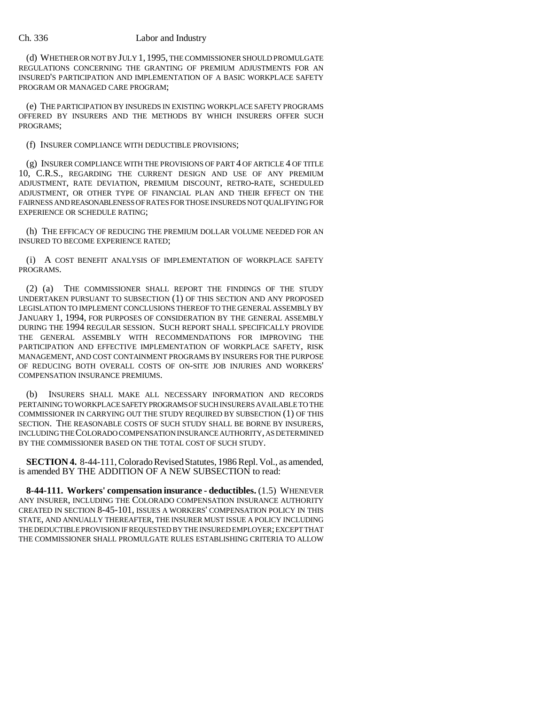## Ch. 336 Labor and Industry

(d) WHETHER OR NOT BY JULY 1, 1995, THE COMMISSIONER SHOULD PROMULGATE REGULATIONS CONCERNING THE GRANTING OF PREMIUM ADJUSTMENTS FOR AN INSURED'S PARTICIPATION AND IMPLEMENTATION OF A BASIC WORKPLACE SAFETY PROGRAM OR MANAGED CARE PROGRAM;

(e) THE PARTICIPATION BY INSUREDS IN EXISTING WORKPLACE SAFETY PROGRAMS OFFERED BY INSURERS AND THE METHODS BY WHICH INSURERS OFFER SUCH PROGRAMS;

(f) INSURER COMPLIANCE WITH DEDUCTIBLE PROVISIONS;

(g) INSURER COMPLIANCE WITH THE PROVISIONS OF PART 4 OF ARTICLE 4 OF TITLE 10, C.R.S., REGARDING THE CURRENT DESIGN AND USE OF ANY PREMIUM ADJUSTMENT, RATE DEVIATION, PREMIUM DISCOUNT, RETRO-RATE, SCHEDULED ADJUSTMENT, OR OTHER TYPE OF FINANCIAL PLAN AND THEIR EFFECT ON THE FAIRNESS AND REASONABLENESS OF RATES FOR THOSE INSUREDS NOT QUALIFYING FOR EXPERIENCE OR SCHEDULE RATING;

(h) THE EFFICACY OF REDUCING THE PREMIUM DOLLAR VOLUME NEEDED FOR AN INSURED TO BECOME EXPERIENCE RATED;

(i) A COST BENEFIT ANALYSIS OF IMPLEMENTATION OF WORKPLACE SAFETY PROGRAMS.

(2) (a) THE COMMISSIONER SHALL REPORT THE FINDINGS OF THE STUDY UNDERTAKEN PURSUANT TO SUBSECTION (1) OF THIS SECTION AND ANY PROPOSED LEGISLATION TO IMPLEMENT CONCLUSIONS THEREOF TO THE GENERAL ASSEMBLY BY JANUARY 1, 1994, FOR PURPOSES OF CONSIDERATION BY THE GENERAL ASSEMBLY DURING THE 1994 REGULAR SESSION. SUCH REPORT SHALL SPECIFICALLY PROVIDE THE GENERAL ASSEMBLY WITH RECOMMENDATIONS FOR IMPROVING THE PARTICIPATION AND EFFECTIVE IMPLEMENTATION OF WORKPLACE SAFETY, RISK MANAGEMENT, AND COST CONTAINMENT PROGRAMS BY INSURERS FOR THE PURPOSE OF REDUCING BOTH OVERALL COSTS OF ON-SITE JOB INJURIES AND WORKERS' COMPENSATION INSURANCE PREMIUMS.

(b) INSURERS SHALL MAKE ALL NECESSARY INFORMATION AND RECORDS PERTAINING TO WORKPLACE SAFETY PROGRAMS OF SUCH INSURERS AVAILABLE TO THE COMMISSIONER IN CARRYING OUT THE STUDY REQUIRED BY SUBSECTION (1) OF THIS SECTION. THE REASONABLE COSTS OF SUCH STUDY SHALL BE BORNE BY INSURERS, INCLUDING THE COLORADO COMPENSATION INSURANCE AUTHORITY, AS DETERMINED BY THE COMMISSIONER BASED ON THE TOTAL COST OF SUCH STUDY.

**SECTION 4.** 8-44-111, Colorado Revised Statutes, 1986 Repl. Vol., as amended, is amended BY THE ADDITION OF A NEW SUBSECTION to read:

**8-44-111. Workers' compensation insurance - deductibles.** (1.5) WHENEVER ANY INSURER, INCLUDING THE COLORADO COMPENSATION INSURANCE AUTHORITY CREATED IN SECTION 8-45-101, ISSUES A WORKERS' COMPENSATION POLICY IN THIS STATE, AND ANNUALLY THEREAFTER, THE INSURER MUST ISSUE A POLICY INCLUDING THE DEDUCTIBLE PROVISION IF REQUESTED BY THE INSURED EMPLOYER; EXCEPT THAT THE COMMISSIONER SHALL PROMULGATE RULES ESTABLISHING CRITERIA TO ALLOW